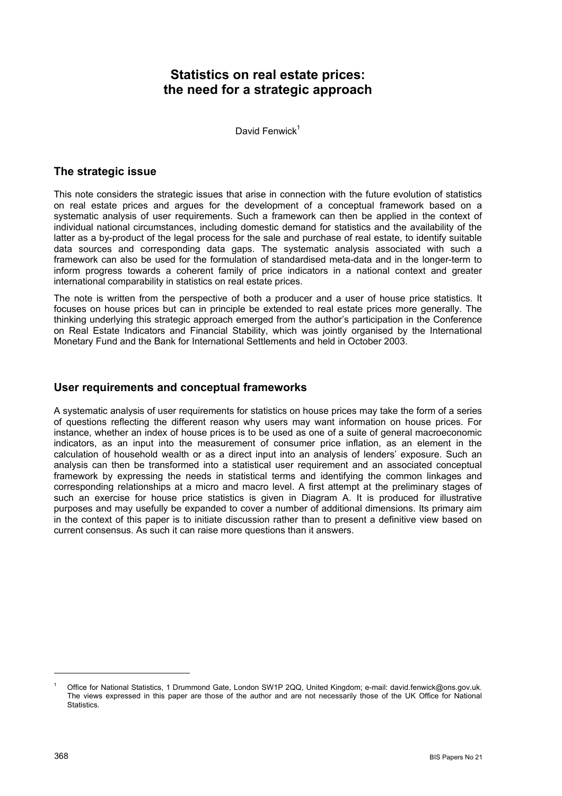# **Statistics on real estate prices: the need for a strategic approach**

David Fenwick<sup>1</sup>

## **The strategic issue**

This note considers the strategic issues that arise in connection with the future evolution of statistics on real estate prices and argues for the development of a conceptual framework based on a systematic analysis of user requirements. Such a framework can then be applied in the context of individual national circumstances, including domestic demand for statistics and the availability of the latter as a by-product of the legal process for the sale and purchase of real estate, to identify suitable data sources and corresponding data gaps. The systematic analysis associated with such a framework can also be used for the formulation of standardised meta-data and in the longer-term to inform progress towards a coherent family of price indicators in a national context and greater international comparability in statistics on real estate prices.

The note is written from the perspective of both a producer and a user of house price statistics. It focuses on house prices but can in principle be extended to real estate prices more generally. The thinking underlying this strategic approach emerged from the author's participation in the Conference on Real Estate Indicators and Financial Stability, which was jointly organised by the International Monetary Fund and the Bank for International Settlements and held in October 2003.

### **User requirements and conceptual frameworks**

A systematic analysis of user requirements for statistics on house prices may take the form of a series of questions reflecting the different reason why users may want information on house prices. For instance, whether an index of house prices is to be used as one of a suite of general macroeconomic indicators, as an input into the measurement of consumer price inflation, as an element in the calculation of household wealth or as a direct input into an analysis of lenders' exposure. Such an analysis can then be transformed into a statistical user requirement and an associated conceptual framework by expressing the needs in statistical terms and identifying the common linkages and corresponding relationships at a micro and macro level. A first attempt at the preliminary stages of such an exercise for house price statistics is given in Diagram A. It is produced for illustrative purposes and may usefully be expanded to cover a number of additional dimensions. Its primary aim in the context of this paper is to initiate discussion rather than to present a definitive view based on current consensus. As such it can raise more questions than it answers.

l

<sup>1</sup> Office for National Statistics, 1 Drummond Gate, London SW1P 2QQ, United Kingdom; e-mail: david.fenwick@ons.gov.uk. The views expressed in this paper are those of the author and are not necessarily those of the UK Office for National **Statistics**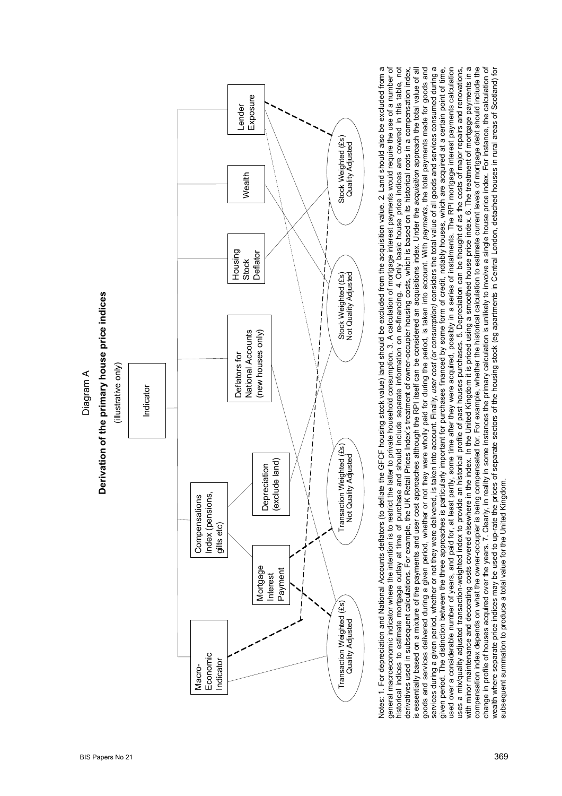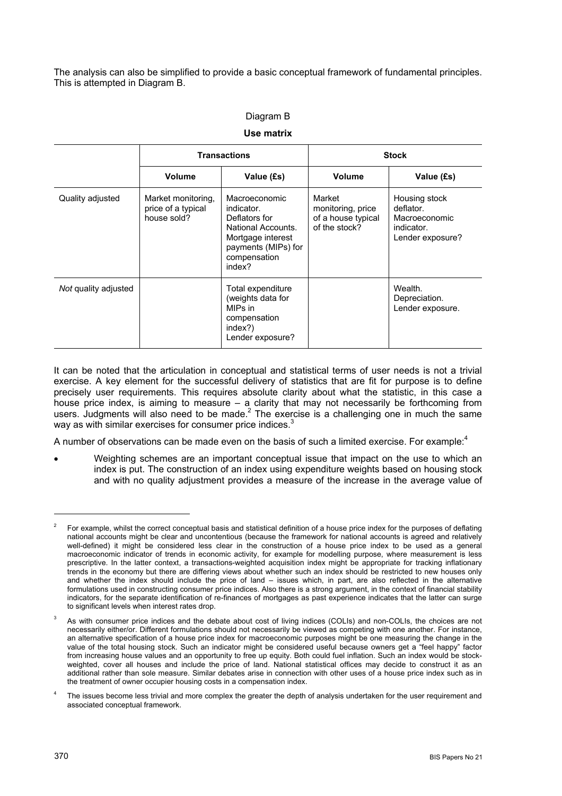The analysis can also be simplified to provide a basic conceptual framework of fundamental principles. This is attempted in Diagram B.

#### Diagram B

#### **Use matrix**

|                      | <b>Transactions</b>                                     |                                                                                                                                          | <b>Stock</b>                                                       |                                                                               |
|----------------------|---------------------------------------------------------|------------------------------------------------------------------------------------------------------------------------------------------|--------------------------------------------------------------------|-------------------------------------------------------------------------------|
|                      | <b>Volume</b>                                           | Value (£s)                                                                                                                               | <b>Volume</b>                                                      | Value (£s)                                                                    |
| Quality adjusted     | Market monitoring,<br>price of a typical<br>house sold? | Macroeconomic<br>indicator.<br>Deflators for<br>National Accounts.<br>Mortgage interest<br>payments (MIPs) for<br>compensation<br>index? | Market<br>monitoring, price<br>of a house typical<br>of the stock? | Housing stock<br>deflator.<br>Macroeconomic<br>indicator.<br>Lender exposure? |
| Not quality adjusted |                                                         | Total expenditure<br>(weights data for<br>MIPs in<br>compensation<br>index?)<br>Lender exposure?                                         |                                                                    | Wealth.<br>Depreciation.<br>Lender exposure.                                  |

It can be noted that the articulation in conceptual and statistical terms of user needs is not a trivial exercise. A key element for the successful delivery of statistics that are fit for purpose is to define precisely user requirements. This requires absolute clarity about what the statistic, in this case a house price index, is aiming to measure – a clarity that may not necessarily be forthcoming from users. Judgments will also need to be made. $^2$  The exercise is a challenging one in much the same way as with similar exercises for consumer price indices.<sup>3</sup>

A number of observations can be made even on the basis of such a limited exercise. For example: $4$ 

• Weighting schemes are an important conceptual issue that impact on the use to which an index is put. The construction of an index using expenditure weights based on housing stock and with no quality adjustment provides a measure of the increase in the average value of

l

<sup>2</sup> For example, whilst the correct conceptual basis and statistical definition of a house price index for the purposes of deflating national accounts might be clear and uncontentious (because the framework for national accounts is agreed and relatively well-defined) it might be considered less clear in the construction of a house price index to be used as a general macroeconomic indicator of trends in economic activity, for example for modelling purpose, where measurement is less prescriptive. In the latter context, a transactions-weighted acquisition index might be appropriate for tracking inflationary trends in the economy but there are differing views about whether such an index should be restricted to new houses only and whether the index should include the price of land – issues which, in part, are also reflected in the alternative formulations used in constructing consumer price indices. Also there is a strong argument, in the context of financial stability indicators, for the separate identification of re-finances of mortgages as past experience indicates that the latter can surge to significant levels when interest rates drop.

 $\overline{a}$ As with consumer price indices and the debate about cost of living indices (COLIs) and non-COLIs, the choices are not necessarily either/or. Different formulations should not necessarily be viewed as competing with one another. For instance, an alternative specification of a house price index for macroeconomic purposes might be one measuring the change in the value of the total housing stock. Such an indicator might be considered useful because owners get a "feel happy" factor from increasing house values and an opportunity to free up equity. Both could fuel inflation. Such an index would be stockweighted, cover all houses and include the price of land. National statistical offices may decide to construct it as an additional rather than sole measure. Similar debates arise in connection with other uses of a house price index such as in the treatment of owner occupier housing costs in a compensation index.

<sup>4</sup> The issues become less trivial and more complex the greater the depth of analysis undertaken for the user requirement and associated conceptual framework.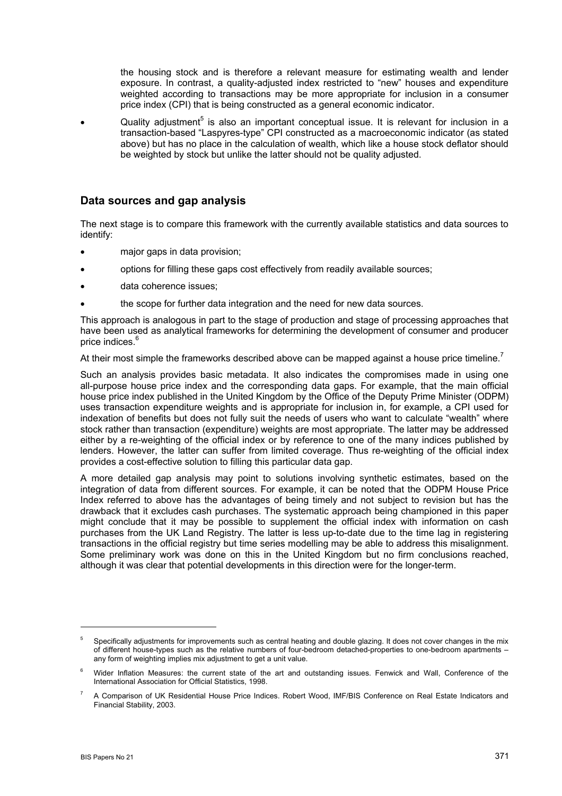the housing stock and is therefore a relevant measure for estimating wealth and lender exposure. In contrast, a quality-adjusted index restricted to "new" houses and expenditure weighted according to transactions may be more appropriate for inclusion in a consumer price index (CPI) that is being constructed as a general economic indicator.

• Quality adjustment<sup>5</sup> is also an important conceptual issue. It is relevant for inclusion in a transaction-based "Laspyres-type" CPI constructed as a macroeconomic indicator (as stated above) but has no place in the calculation of wealth, which like a house stock deflator should be weighted by stock but unlike the latter should not be quality adjusted.

### **Data sources and gap analysis**

The next stage is to compare this framework with the currently available statistics and data sources to identify:

- major gaps in data provision;
- options for filling these gaps cost effectively from readily available sources;
- data coherence issues:
- the scope for further data integration and the need for new data sources.

This approach is analogous in part to the stage of production and stage of processing approaches that have been used as analytical frameworks for determining the development of consumer and producer price indices.<sup>6</sup>

At their most simple the frameworks described above can be mapped against a house price timeline.<sup>7</sup>

Such an analysis provides basic metadata. It also indicates the compromises made in using one all-purpose house price index and the corresponding data gaps. For example, that the main official house price index published in the United Kingdom by the Office of the Deputy Prime Minister (ODPM) uses transaction expenditure weights and is appropriate for inclusion in, for example, a CPI used for indexation of benefits but does not fully suit the needs of users who want to calculate "wealth" where stock rather than transaction (expenditure) weights are most appropriate. The latter may be addressed either by a re-weighting of the official index or by reference to one of the many indices published by lenders. However, the latter can suffer from limited coverage. Thus re-weighting of the official index provides a cost-effective solution to filling this particular data gap.

A more detailed gap analysis may point to solutions involving synthetic estimates, based on the integration of data from different sources. For example, it can be noted that the ODPM House Price Index referred to above has the advantages of being timely and not subject to revision but has the drawback that it excludes cash purchases. The systematic approach being championed in this paper might conclude that it may be possible to supplement the official index with information on cash purchases from the UK Land Registry. The latter is less up-to-date due to the time lag in registering transactions in the official registry but time series modelling may be able to address this misalignment. Some preliminary work was done on this in the United Kingdom but no firm conclusions reached, although it was clear that potential developments in this direction were for the longer-term.

l

<sup>5</sup> Specifically adjustments for improvements such as central heating and double glazing. It does not cover changes in the mix of different house-types such as the relative numbers of four-bedroom detached-properties to one-bedroom apartments – any form of weighting implies mix adjustment to get a unit value.

<sup>6</sup> Wider Inflation Measures: the current state of the art and outstanding issues. Fenwick and Wall, Conference of the International Association for Official Statistics, 1998.

<sup>7</sup> A Comparison of UK Residential House Price Indices. Robert Wood, IMF/BIS Conference on Real Estate Indicators and Financial Stability, 2003.